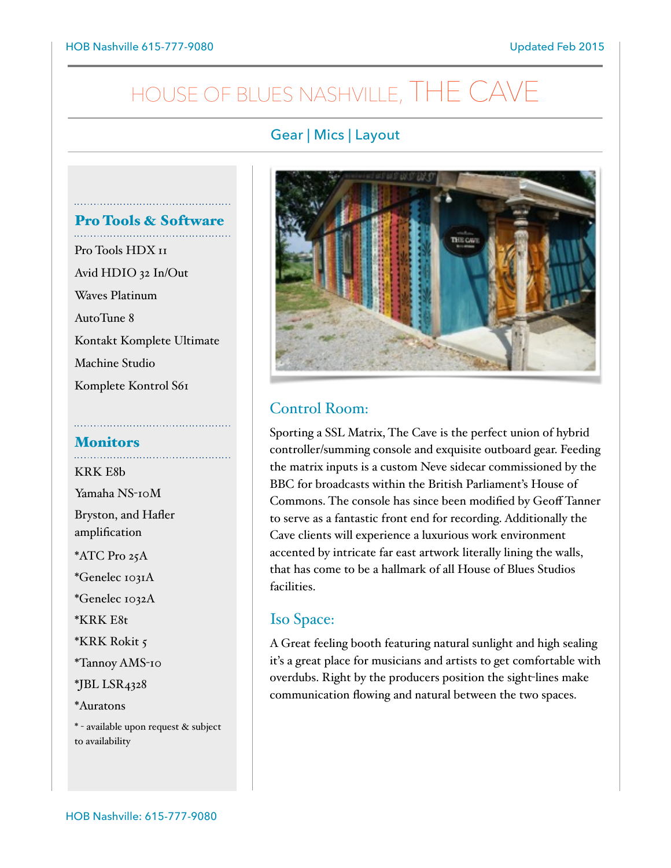# HOUSE OF BLUES NASHVILLE, THE CAV

## Gear | Mics | Layout



## Control Room:

Sporting a SSL Matrix, The Cave is the perfect union of hybrid controller/summing console and exquisite outboard gear. Feeding the matrix inputs is a custom Neve sidecar commissioned by the BBC for broadcasts within the British Parliament's House of Commons. The console has since been modified by Geoff Tanner to serve as a fantastic front end for recording. Additionally the Cave clients will experience a luxurious work environment accented by intricate far east artwork literally lining the walls, that has come to be a hallmark of all House of Blues Studios facilities.

### Iso Space:

A Great feeling booth featuring natural sunlight and high sealing it's a great place for musicians and artists to get comfortable with overdubs. Right by the producers position the sight-lines make communication flowing and natural between the two spaces.

Pro Tools & Software Pro Tools HDX 11 Avid HDIO 32 In/Out Waves Platinum AutoTune 8 Kontakt Komplete Ultimate Machine Studio Komplete Kontrol S61

# Monitors

KRK E8b Yamaha NS-10M Bryston, and Hafler amplification \*ATC Pro 25A \*Genelec 1031A \*Genelec 1032A \*KRK E8t \*KRK Rokit 5 \*Tannoy AMS-10 \*JBL LSR4328 \*Auratons \* - available upon request & subject to availability